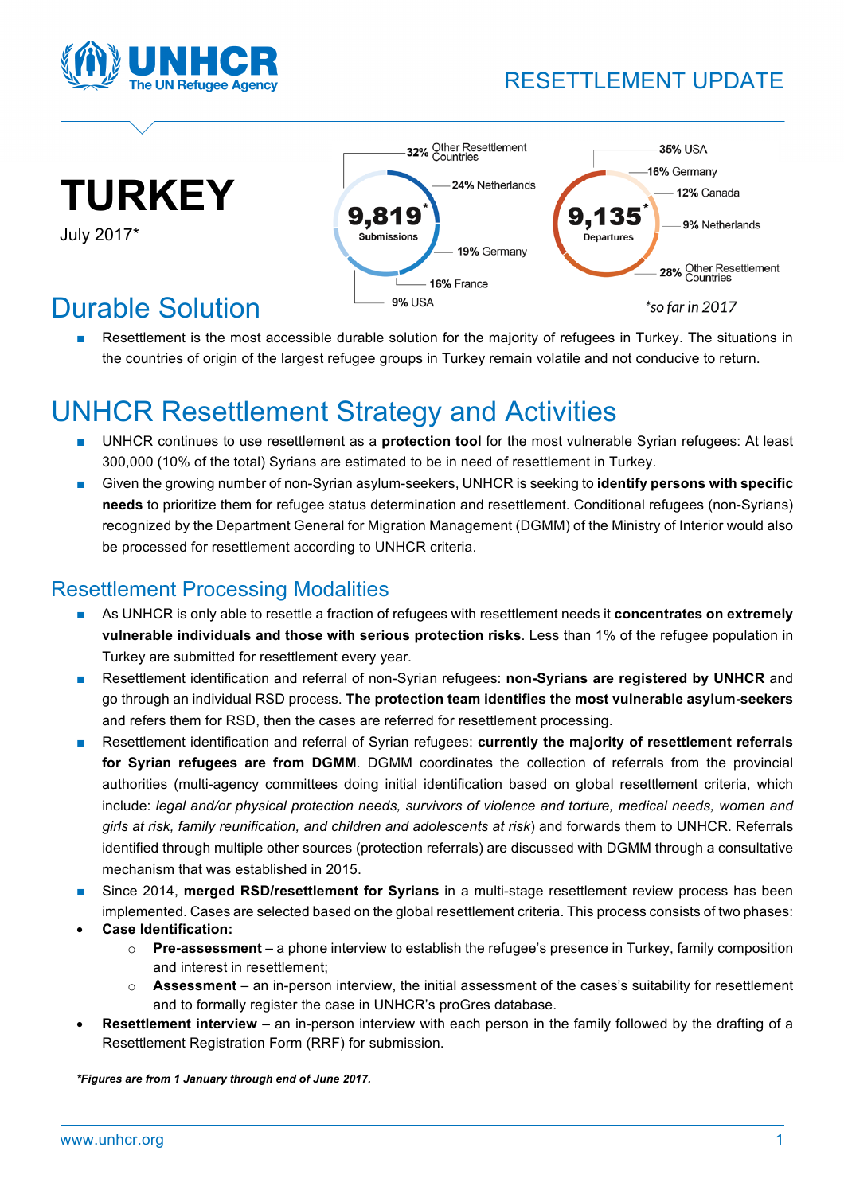

## RESETTLEMENT UPDATE



July 2017\*



# Durable Solution

Resettlement is the most accessible durable solution for the majority of refugees in Turkey. The situations in the countries of origin of the largest refugee groups in Turkey remain volatile and not conducive to return.

# UNHCR Resettlement Strategy and Activities

- UNHCR continues to use resettlement as a **protection tool** for the most vulnerable Syrian refugees: At least 300,000 (10% of the total) Syrians are estimated to be in need of resettlement in Turkey.
- Given the growing number of non-Syrian asylum-seekers, UNHCR is seeking to **identify persons with specific needs** to prioritize them for refugee status determination and resettlement. Conditional refugees (non-Syrians) recognized by the Department General for Migration Management (DGMM) of the Ministry of Interior would also be processed for resettlement according to UNHCR criteria.

### Resettlement Processing Modalities

- As UNHCR is only able to resettle a fraction of refugees with resettlement needs it **concentrates on extremely vulnerable individuals and those with serious protection risks**. Less than 1% of the refugee population in Turkey are submitted for resettlement every year.
- Resettlement identification and referral of non-Syrian refugees: **non-Syrians are registered by UNHCR** and go through an individual RSD process. **The protection team identifies the most vulnerable asylum-seekers** and refers them for RSD, then the cases are referred for resettlement processing.
- Resettlement identification and referral of Syrian refugees: **currently the majority of resettlement referrals for Syrian refugees are from DGMM**. DGMM coordinates the collection of referrals from the provincial authorities (multi-agency committees doing initial identification based on global resettlement criteria, which include: *legal and/or physical protection needs, survivors of violence and torture, medical needs, women and girls at risk, family reunification, and children and adolescents at risk*) and forwards them to UNHCR. Referrals identified through multiple other sources (protection referrals) are discussed with DGMM through a consultative mechanism that was established in 2015.
- Since 2014, **merged RSD/resettlement for Syrians** in a multi-stage resettlement review process has been implemented. Cases are selected based on the global resettlement criteria. This process consists of two phases:
- **Case Identification:** 
	- o **Pre-assessment** a phone interview to establish the refugee's presence in Turkey, family composition and interest in resettlement;
	- o **Assessment** an in-person interview, the initial assessment of the cases's suitability for resettlement and to formally register the case in UNHCR's proGres database.
- **Resettlement interview**  an in-person interview with each person in the family followed by the drafting of a Resettlement Registration Form (RRF) for submission.

*\*Figures are from 1 January through end of June 2017.*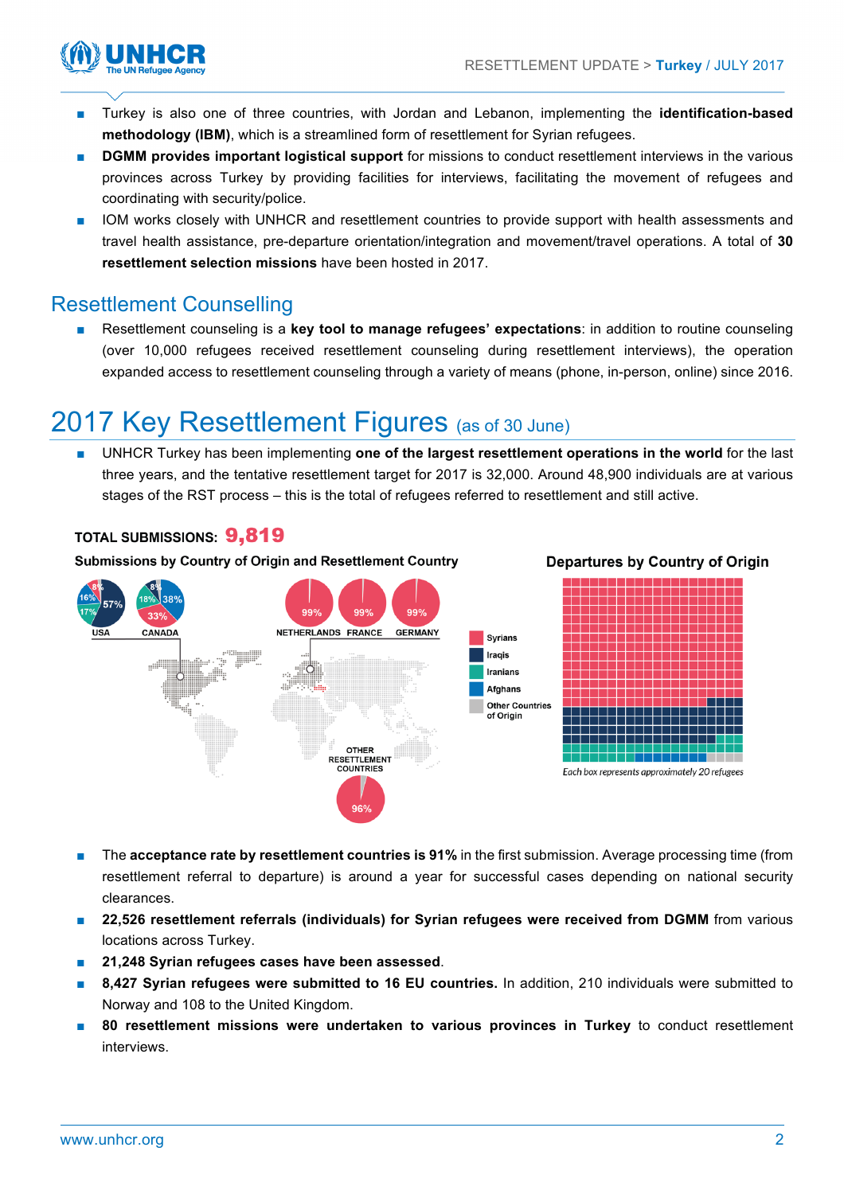**Departures by Country of Origin** 



- Turkey is also one of three countries, with Jordan and Lebanon, implementing the identification-based **methodology (IBM)**, which is a streamlined form of resettlement for Syrian refugees.
- **DGMM provides important logistical support** for missions to conduct resettlement interviews in the various provinces across Turkey by providing facilities for interviews, facilitating the movement of refugees and coordinating with security/police.
- IOM works closely with UNHCR and resettlement countries to provide support with health assessments and travel health assistance, pre-departure orientation/integration and movement/travel operations. A total of **30 resettlement selection missions** have been hosted in 2017.

### Resettlement Counselling

Resettlement counseling is a key tool to manage refugees' expectations: in addition to routine counseling (over 10,000 refugees received resettlement counseling during resettlement interviews), the operation expanded access to resettlement counseling through a variety of means (phone, in-person, online) since 2016.

# 2017 Key Resettlement Figures (as of 30 June)

■ UNHCR Turkey has been implementing **one of the largest resettlement operations in the world** for the last three years, and the tentative resettlement target for 2017 is 32,000. Around 48,900 individuals are at various stages of the RST process – this is the total of refugees referred to resettlement and still active.

### **TOTAL SUBMISSIONS: 9.819**

Submissions by Country of Origin and Resettlement Country



- The **acceptance rate by resettlement countries is 91% in the first submission. Average processing time (from** resettlement referral to departure) is around a year for successful cases depending on national security clearances.
- **22,526** resettlement referrals (individuals) for Syrian refugees were received from DGMM from various locations across Turkey.
- **21,248 Syrian refugees cases have been assessed**.
- **8,427 Syrian refugees were submitted to 16 EU countries.** In addition, 210 individuals were submitted to Norway and 108 to the United Kingdom.
- **80 resettlement missions were undertaken to various provinces in Turkey** to conduct resettlement interviews.